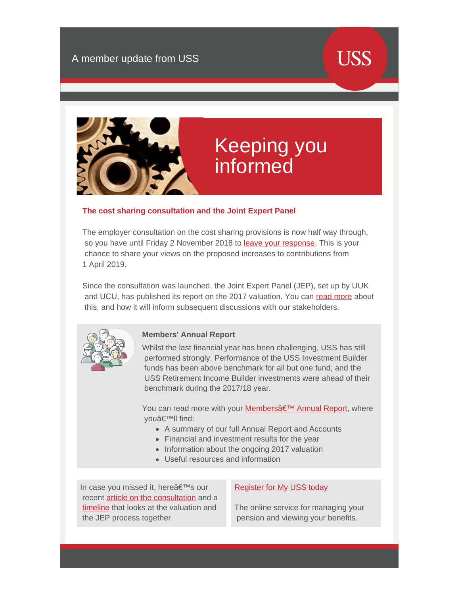# **USS**



# Keeping you informed

## **The cost sharing consultation and the Joint Expert Panel**

The employer consultation on the cost sharing provisions is now half way through, so you have until Friday 2 November 2018 to [leave your response](https://www.ussconsultation2018.co.uk/members). This is your chance to share your views on the proposed increases to contributions from 1 April 2019.

Since the consultation was launched, the Joint Expert Panel (JEP), set up by UUK and UCU, has published its report on the 2017 valuation. You can [read more](https://www.uss.co.uk/how-uss-is-run/valuation/2017-valuation-updates/the-cost-sharing-consultation-an-update) about this, and how it will inform subsequent discussions with our stakeholders.



#### **Members' Annual Report**

Whilst the last financial year has been challenging, USS has still performed strongly. Performance of the USS Investment Builder funds has been above benchmark for all but one fund, and the USS Retirement Income Builder investments were ahead of their benchmark during the 2017/18 year.

You can read more with your **Membersâ€<sup>™</sup> Annual Report**, where vouâ€<sup>™</sup>ll find:

- A summary of our full Annual Report and Accounts
- Financial and investment results for the year
- Information about the ongoing 2017 valuation
- Useful resources and information

In case you missed it, here's our recent [article on the consultation](https://www.uss.co.uk/how-uss-is-run/valuation/2017-valuation-updates/the-consultation-what-you-can-do) and a [timeline](https://www.uss.co.uk/how-uss-is-run/valuation/2017-valuation-updates/the-valuation-and-the-jep) that looks at the valuation and the JEP process together.

### [Register for My USS today](https://www.uss.co.uk/members/members-home/the-uss-scheme/my-uss)

The online service for managing your pension and viewing your benefits.